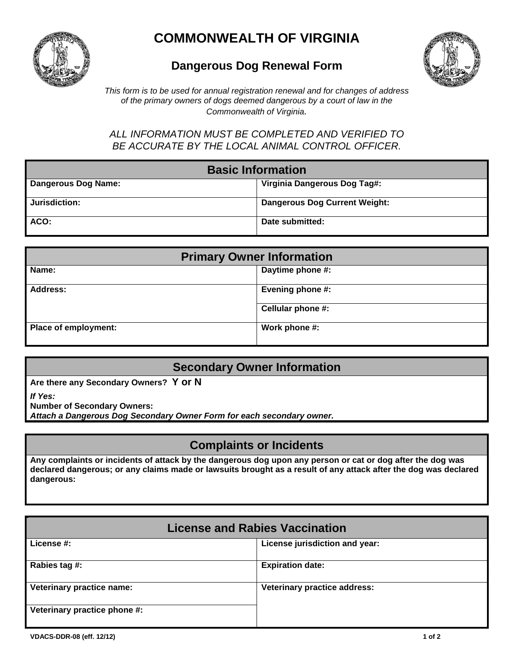

# **COMMONWEALTH OF VIRGINIA**

## **Dangerous Dog Renewal Form**



*This form is to be used for annual registration renewal and for changes of address of the primary owners of dogs deemed dangerous by a court of law in the Commonwealth of Virginia.* 

*ALL INFORMATION MUST BE COMPLETED AND VERIFIED TO BE ACCURATE BY THE LOCAL ANIMAL CONTROL OFFICER.*

| <b>Basic Information</b> |                                      |  |
|--------------------------|--------------------------------------|--|
| Dangerous Dog Name:      | Virginia Dangerous Dog Tag#:         |  |
| Jurisdiction:            | <b>Dangerous Dog Current Weight:</b> |  |
| ACO:                     | Date submitted:                      |  |

| <b>Primary Owner Information</b> |                   |  |
|----------------------------------|-------------------|--|
| Name:                            | Daytime phone #:  |  |
| <b>Address:</b>                  | Evening phone #:  |  |
|                                  | Cellular phone #: |  |
| Place of employment:             | Work phone #:     |  |

### **Secondary Owner Information**

**Are there any Secondary Owners? Y or N**

*If Yes:* 

**Number of Secondary Owners:**

*Attach a Dangerous Dog Secondary Owner Form for each secondary owner.*

### **Complaints or Incidents**

**Any complaints or incidents of attack by the dangerous dog upon any person or cat or dog after the dog was declared dangerous; or any claims made or lawsuits brought as a result of any attack after the dog was declared dangerous:** 

| <b>License and Rabies Vaccination</b> |                                |  |
|---------------------------------------|--------------------------------|--|
| License #:                            | License jurisdiction and year: |  |
| Rabies tag #:                         | <b>Expiration date:</b>        |  |
| Veterinary practice name:             | Veterinary practice address:   |  |
| Veterinary practice phone #:          |                                |  |